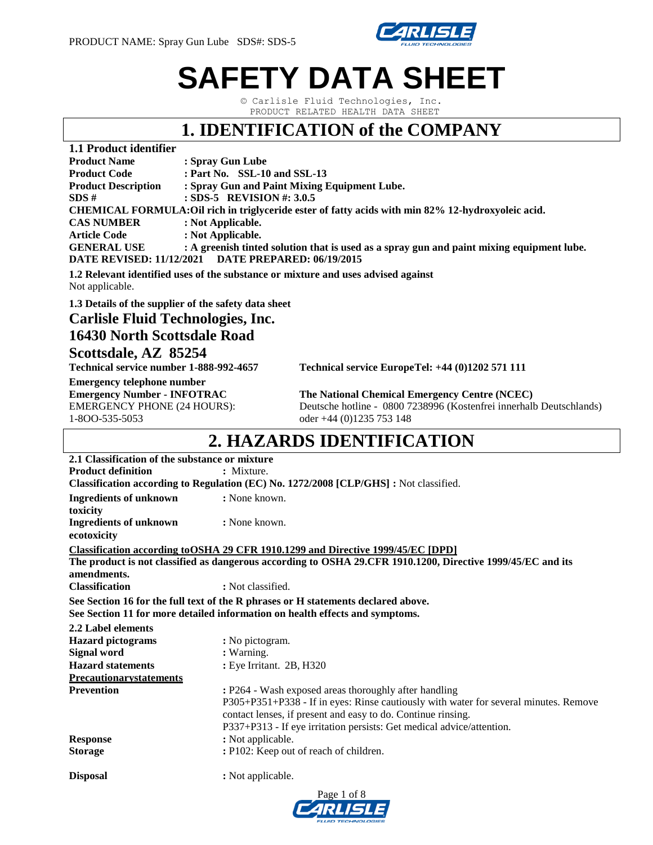

# **SAFETY DATA SHEET**

© Carlisle Fluid Technologies, Inc. PRODUCT RELATED HEALTH DATA SHEET

### **1. IDENTIFICATION of the COMPANY**

| 1.1 Product identifier          |                                                                                                    |
|---------------------------------|----------------------------------------------------------------------------------------------------|
| <b>Product Name</b>             | : Spray Gun Lube                                                                                   |
| <b>Product Code</b>             | : Part No. $SSL-10$ and $SSL-13$                                                                   |
| <b>Product Description</b>      | : Spray Gun and Paint Mixing Equipment Lube.                                                       |
| SDS#                            | : SDS-5 REVISION #: $3.0.5$                                                                        |
|                                 | CHEMICAL FORMULA: Oil rich in triglyceride ester of fatty acids with min 82% 12-hydroxyoleic acid. |
| <b>CAS NUMBER</b>               | : Not Applicable.                                                                                  |
| <b>Article Code</b>             | : Not Applicable.                                                                                  |
| <b>GENERAL USE</b>              | : A greenish tinted solution that is used as a spray gun and paint mixing equipment lube.          |
| <b>DATE REVISED: 11/12/2021</b> | <b>DATE PREPARED: 06/19/2015</b>                                                                   |
|                                 |                                                                                                    |

**1.2 Relevant identified uses of the substance or mixture and uses advised against** Not applicable.

**1.3 Details of the supplier of the safety data sheet**

**Carlisle Fluid Technologies, Inc.**

### **16430 North Scottsdale Road Scottsdale, AZ 85254**

**Technical service number 1-888-992-4657 Technical service EuropeTel: +44 (0)1202 571 111** 

**Emergency telephone number** 1-8OO-535-5053 oder +44 (0)1235 753 148

**Emergency Number - INFOTRAC The National Chemical Emergency Centre (NCEC)** EMERGENCY PHONE (24 HOURS): Deutsche hotline - 0800 7238996 (Kostenfrei innerhalb Deutschlands)

### **2. HAZARDS IDENTIFICATION**

| 2.1 Classification of the substance or mixture |                                                                                                             |
|------------------------------------------------|-------------------------------------------------------------------------------------------------------------|
| <b>Product definition</b>                      | : Mixture.                                                                                                  |
|                                                | Classification according to Regulation (EC) No. 1272/2008 [CLP/GHS] : Not classified.                       |
| <b>Ingredients of unknown</b>                  | : None known.                                                                                               |
| toxicity                                       |                                                                                                             |
| <b>Ingredients of unknown</b>                  | : None known.                                                                                               |
| ecotoxicity                                    |                                                                                                             |
|                                                | Classification according to OSHA 29 CFR 1910.1299 and Directive 1999/45/EC [DPD]                            |
| amendments.                                    | The product is not classified as dangerous according to OSHA 29.CFR 1910.1200, Directive 1999/45/EC and its |
| <b>Classification</b>                          | : Not classified.                                                                                           |
|                                                | See Section 16 for the full text of the R phrases or H statements declared above.                           |
|                                                | See Section 11 for more detailed information on health effects and symptoms.                                |
| 2.2 Label elements                             |                                                                                                             |
| <b>Hazard pictograms</b>                       | : No pictogram.                                                                                             |
| <b>Signal word</b>                             | : Warning.                                                                                                  |
| <b>Hazard statements</b>                       | : Eye Irritant. 2B, H320                                                                                    |
| <b>Precautionarystatements</b>                 |                                                                                                             |
| <b>Prevention</b>                              | : P264 - Wash exposed areas thoroughly after handling                                                       |
|                                                | P305+P351+P338 - If in eyes: Rinse cautiously with water for several minutes. Remove                        |
|                                                | contact lenses, if present and easy to do. Continue rinsing.                                                |
|                                                | P337+P313 - If eye irritation persists: Get medical advice/attention.                                       |
| <b>Response</b>                                | : Not applicable.                                                                                           |
| <b>Storage</b>                                 | : P102: Keep out of reach of children.                                                                      |
| <b>Disposal</b>                                | : Not applicable.                                                                                           |

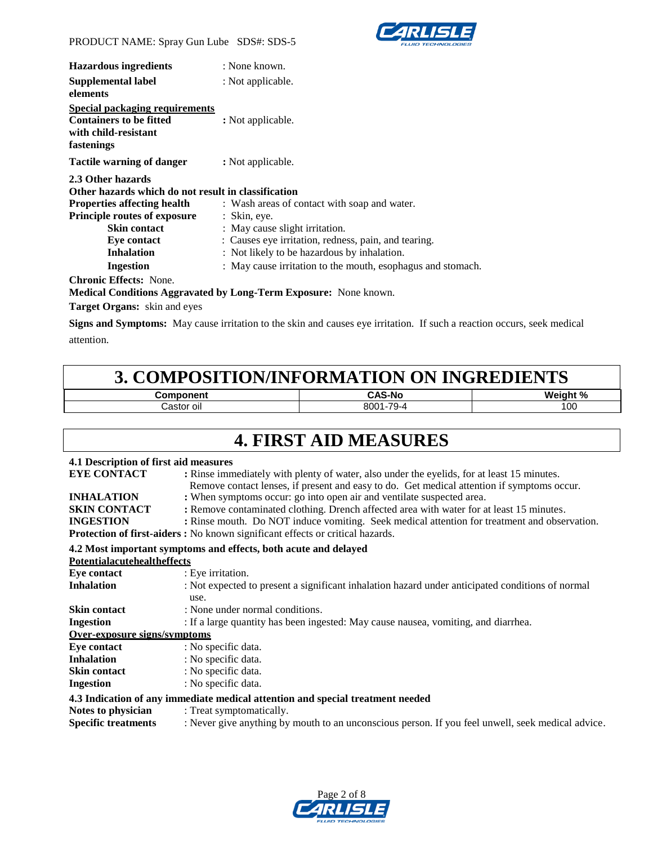

| <b>Hazardous ingredients</b>                                                                           | : None known.                                               |
|--------------------------------------------------------------------------------------------------------|-------------------------------------------------------------|
| Supplemental label                                                                                     | : Not applicable.                                           |
| elements                                                                                               |                                                             |
| Special packaging requirements<br><b>Containers to be fitted</b><br>with child-resistant<br>fastenings | : Not applicable.                                           |
| <b>Tactile warning of danger</b>                                                                       | : Not applicable.                                           |
| 2.3 Other hazards                                                                                      |                                                             |
| Other hazards which do not result in classification                                                    |                                                             |
| <b>Properties affecting health</b>                                                                     | : Wash areas of contact with soap and water.                |
| <b>Principle routes of exposure</b>                                                                    | $:$ Skin, eye.                                              |
| <b>Skin contact</b>                                                                                    | : May cause slight irritation.                              |
| Eye contact                                                                                            | : Causes eye irritation, redness, pain, and tearing.        |
| <b>Inhalation</b>                                                                                      | : Not likely to be hazardous by inhalation.                 |
| <b>Ingestion</b>                                                                                       | : May cause irritation to the mouth, esophagus and stomach. |
| <b>Chronic Effects: None.</b>                                                                          |                                                             |
| 1 <i>.</i> 1. 10. 1.1.                                                                                 | $\mathbf{r}$                                                |

#### **Medical Conditions Aggravated by Long-Term Exposure:** None known.

**Target Organs:** skin and eyes

**Signs and Symptoms:** May cause irritation to the skin and causes eye irritation. If such a reaction occurs, seek medical attention.

### **3. COMPOSITION/INFORMATION ON INGREDIENTS**

| .           | ۰Ν۵             | <b>Wainh</b> |
|-------------|-----------------|--------------|
| ' OII<br>71 | 70<br>8001<br>◡ | 100          |

### **4. FIRST AID MEASURES**

### **4.1 Description of first aid measures**

| <b>EYE CONTACT</b>                 | : Rinse immediately with plenty of water, also under the eyelids, for at least 15 minutes.<br>Remove contact lenses, if present and easy to do. Get medical attention if symptoms occur. |
|------------------------------------|------------------------------------------------------------------------------------------------------------------------------------------------------------------------------------------|
| <b>INHALATION</b>                  | : When symptoms occur: go into open air and ventilate suspected area.                                                                                                                    |
| <b>SKIN CONTACT</b>                | : Remove contaminated clothing. Drench affected area with water for at least 15 minutes.                                                                                                 |
| <b>INGESTION</b>                   | : Rinse mouth. Do NOT induce vomiting. Seek medical attention for treatment and observation.                                                                                             |
|                                    | <b>Protection of first-aiders :</b> No known significant effects or critical hazards.                                                                                                    |
|                                    | 4.2 Most important symptoms and effects, both acute and delayed                                                                                                                          |
| <b>Potentialacutehealtheffects</b> |                                                                                                                                                                                          |
| Eye contact                        | : Eye irritation.                                                                                                                                                                        |
| <b>Inhalation</b>                  | : Not expected to present a significant inhalation hazard under anticipated conditions of normal                                                                                         |
|                                    | use.                                                                                                                                                                                     |
| <b>Skin contact</b>                | : None under normal conditions.                                                                                                                                                          |
| <b>Ingestion</b>                   | : If a large quantity has been ingested: May cause nausea, vomiting, and diarrhea.                                                                                                       |
| Over-exposure signs/symptoms       |                                                                                                                                                                                          |
| Eye contact                        | : No specific data.                                                                                                                                                                      |
| <b>Inhalation</b>                  | : No specific data.                                                                                                                                                                      |
| <b>Skin contact</b>                | : No specific data.                                                                                                                                                                      |
| <b>Ingestion</b>                   | : No specific data.                                                                                                                                                                      |
|                                    | 4.3 Indication of any immediate medical attention and special treatment needed                                                                                                           |
| Notes to physician                 | : Treat symptomatically.                                                                                                                                                                 |
| <b>Specific treatments</b>         | : Never give anything by mouth to an unconscious person. If you feel unwell, seek medical advice.                                                                                        |
|                                    |                                                                                                                                                                                          |

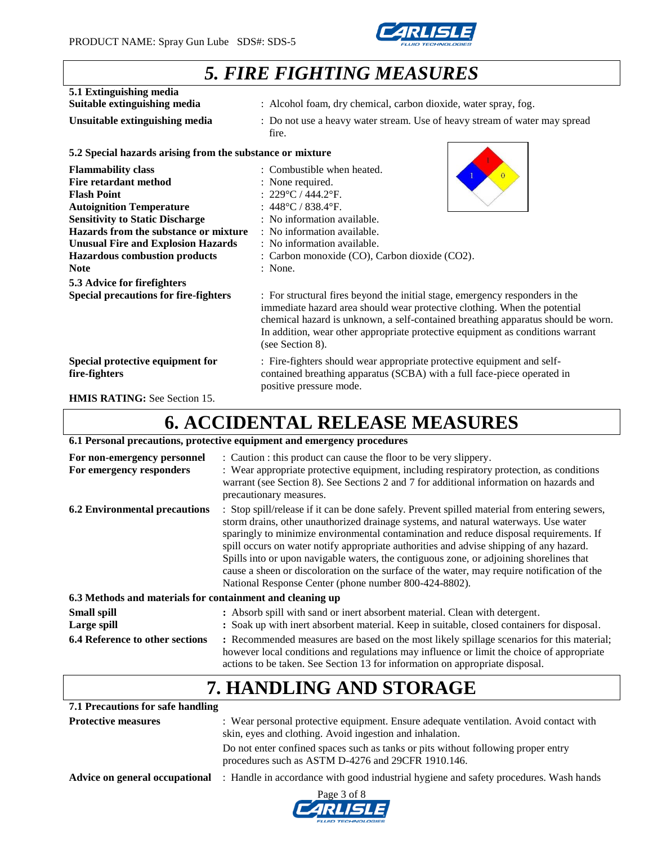

# *5. FIRE FIGHTING MEASURES*

| 5.1 Extinguishing media<br>Suitable extinguishing media                                                                                                                                                                                                                                                   | : Alcohol foam, dry chemical, carbon dioxide, water spray, fog.                                                                                                                                                                                                                                                                                     |
|-----------------------------------------------------------------------------------------------------------------------------------------------------------------------------------------------------------------------------------------------------------------------------------------------------------|-----------------------------------------------------------------------------------------------------------------------------------------------------------------------------------------------------------------------------------------------------------------------------------------------------------------------------------------------------|
| Unsuitable extinguishing media                                                                                                                                                                                                                                                                            | : Do not use a heavy water stream. Use of heavy stream of water may spread<br>fire.                                                                                                                                                                                                                                                                 |
| 5.2 Special hazards arising from the substance or mixture                                                                                                                                                                                                                                                 |                                                                                                                                                                                                                                                                                                                                                     |
| <b>Flammability class</b><br><b>Fire retardant method</b><br><b>Flash Point</b><br><b>Autoignition Temperature</b><br><b>Sensitivity to Static Discharge</b><br>Hazards from the substance or mixture<br><b>Unusual Fire and Explosion Hazards</b><br><b>Hazardous combustion products</b><br><b>Note</b> | : Combustible when heated.<br>$\Omega$<br>: None required.<br>: $229^{\circ}$ C / 444.2°F.<br>: $448^{\circ}$ C / 838.4 $^{\circ}$ F.<br>: No information available.<br>: No information available.<br>: No information available.<br>: Carbon monoxide (CO), Carbon dioxide (CO2).<br>: None.                                                      |
| 5.3 Advice for firefighters<br><b>Special precautions for fire-fighters</b>                                                                                                                                                                                                                               | : For structural fires beyond the initial stage, emergency responders in the<br>immediate hazard area should wear protective clothing. When the potential<br>chemical hazard is unknown, a self-contained breathing apparatus should be worn.<br>In addition, wear other appropriate protective equipment as conditions warrant<br>(see Section 8). |
| Special protective equipment for<br>fire-fighters                                                                                                                                                                                                                                                         | : Fire-fighters should wear appropriate protective equipment and self-<br>contained breathing apparatus (SCBA) with a full face-piece operated in<br>positive pressure mode.                                                                                                                                                                        |

**HMIS RATING:** See Section 15.

### **6. ACCIDENTAL RELEASE MEASURES**

### **6.1 Personal precautions, protective equipment and emergency procedures**

| For non-emergency personnel<br>For emergency responders   | : Caution : this product can cause the floor to be very slippery.<br>: Wear appropriate protective equipment, including respiratory protection, as conditions<br>warrant (see Section 8). See Sections 2 and 7 for additional information on hazards and<br>precautionary measures.                                                                                                                                                                                                                                                                                                                                          |
|-----------------------------------------------------------|------------------------------------------------------------------------------------------------------------------------------------------------------------------------------------------------------------------------------------------------------------------------------------------------------------------------------------------------------------------------------------------------------------------------------------------------------------------------------------------------------------------------------------------------------------------------------------------------------------------------------|
| <b>6.2 Environmental precautions</b>                      | : Stop spill/release if it can be done safely. Prevent spilled material from entering sewers,<br>storm drains, other unauthorized drainage systems, and natural waterways. Use water<br>sparingly to minimize environmental contamination and reduce disposal requirements. If<br>spill occurs on water notify appropriate authorities and advise shipping of any hazard.<br>Spills into or upon navigable waters, the contiguous zone, or adjoining shorelines that<br>cause a sheen or discoloration on the surface of the water, may require notification of the<br>National Response Center (phone number 800-424-8802). |
| 6.3 Methods and materials for containment and cleaning up |                                                                                                                                                                                                                                                                                                                                                                                                                                                                                                                                                                                                                              |
| <b>Small spill</b><br>Large spill                         | : Absorb spill with sand or inert absorbent material. Clean with detergent.<br>: Soak up with inert absorbent material. Keep in suitable, closed containers for disposal.                                                                                                                                                                                                                                                                                                                                                                                                                                                    |
| <b>6.4 Reference to other sections</b>                    | : Recommended measures are based on the most likely spillage scenarios for this material;<br>however local conditions and regulations may influence or limit the choice of appropriate<br>actions to be taken. See Section 13 for information on appropriate disposal.                                                                                                                                                                                                                                                                                                                                                       |

# **7. HANDLING AND STORAGE**

| 7.1 Precautions for safe handling |                                                                                                                                                   |
|-----------------------------------|---------------------------------------------------------------------------------------------------------------------------------------------------|
| <b>Protective measures</b>        | : Wear personal protective equipment. Ensure adequate ventilation. Avoid contact with<br>skin, eyes and clothing. Avoid ingestion and inhalation. |
|                                   | Do not enter confined spaces such as tanks or pits without following proper entry<br>procedures such as ASTM D-4276 and 29CFR 1910.146.           |
|                                   | <b>Advice on general occupational</b> : Handle in accordance with good industrial hygiene and safety procedures. Wash hands                       |
|                                   | Page 3 of 8                                                                                                                                       |

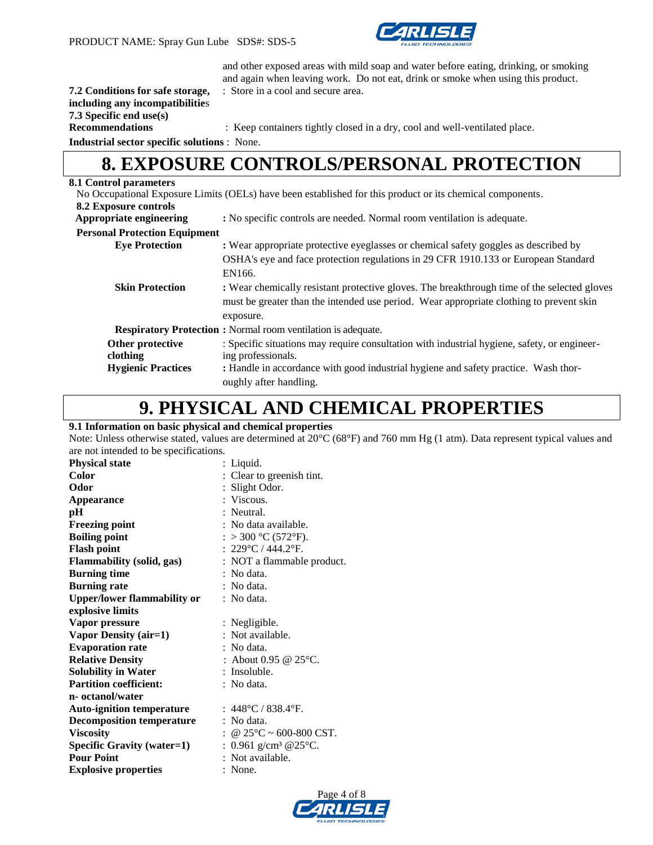

and other exposed areas with mild soap and water before eating, drinking, or smoking and again when leaving work. Do not eat, drink or smoke when using this product.

#### **7.2 Conditions for safe storage,** : Store in a cool and secure area. **including any incompatibilitie**s **7.3 Specific end use(s)**

**Recommendations** : Keep containers tightly closed in a dry, cool and well-ventilated place.

**Industrial sector specific solutions** : None.

### **8. EXPOSURE CONTROLS/PERSONAL PROTECTION**

### **8.1 Control parameters**

|                                      | No Occupational Exposure Limits (OELs) have been established for this product or its chemical components. |
|--------------------------------------|-----------------------------------------------------------------------------------------------------------|
| 8.2 Exposure controls                |                                                                                                           |
| Appropriate engineering              | : No specific controls are needed. Normal room ventilation is adequate.                                   |
| <b>Personal Protection Equipment</b> |                                                                                                           |
| <b>Eye Protection</b>                | : Wear appropriate protective eyeglasses or chemical safety goggles as described by                       |
|                                      | OSHA's eye and face protection regulations in 29 CFR 1910.133 or European Standard                        |
|                                      | EN166.                                                                                                    |
| <b>Skin Protection</b>               | : Wear chemically resistant protective gloves. The breakthrough time of the selected gloves               |
|                                      | must be greater than the intended use period. Wear appropriate clothing to prevent skin                   |
|                                      | exposure.                                                                                                 |
|                                      | <b>Respiratory Protection :</b> Normal room ventilation is adequate.                                      |
| Other protective                     | : Specific situations may require consultation with industrial hygiene, safety, or engineer-              |
| clothing                             | ing professionals.                                                                                        |
| <b>Hygienic Practices</b>            | : Handle in accordance with good industrial hygiene and safety practice. Wash thor-                       |
|                                      | oughly after handling.                                                                                    |

### **9. PHYSICAL AND CHEMICAL PROPERTIES**

#### **9.1 Information on basic physical and chemical properties**

Note: Unless otherwise stated, values are determined at 20°C (68°F) and 760 mm Hg (1 atm). Data represent typical values and are not intended to be specifications.

| <b>Physical state</b>              | : Liquid.                               |
|------------------------------------|-----------------------------------------|
| Color                              | : Clear to greenish tint.               |
| Odor                               | : Slight Odor.                          |
| <b>Appearance</b>                  | : Viscous.                              |
| pН                                 | : Neutral.                              |
| <b>Freezing point</b>              | : No data available.                    |
| <b>Boiling point</b>               | : > 300 °C (572°F).                     |
| <b>Flash point</b>                 | : $229^{\circ}$ C / 444.2°F.            |
| <b>Flammability (solid, gas)</b>   | : NOT a flammable product.              |
| <b>Burning time</b>                | : No data.                              |
| <b>Burning rate</b>                | : No data.                              |
| <b>Upper/lower flammability or</b> | : No data.                              |
| explosive limits                   |                                         |
| Vapor pressure                     | : Negligible.                           |
| Vapor Density (air=1)              | : Not available.                        |
| <b>Evaporation rate</b>            | : No data.                              |
| <b>Relative Density</b>            | : About 0.95 @ 25 °C.                   |
| <b>Solubility in Water</b>         | : Insoluble.                            |
| <b>Partition coefficient:</b>      | : No data.                              |
| n- octanol/water                   |                                         |
| <b>Auto-ignition temperature</b>   | : $448^{\circ}$ C / 838.4 $^{\circ}$ F. |
| <b>Decomposition temperature</b>   | : No data.                              |
| <b>Viscosity</b>                   | : @ 25°C ~ 600-800 CST.                 |
| <b>Specific Gravity (water=1)</b>  | : $0.961$ g/cm <sup>3</sup> @25°C.      |
| <b>Pour Point</b>                  | : Not available.                        |
| <b>Explosive properties</b>        | : None.                                 |

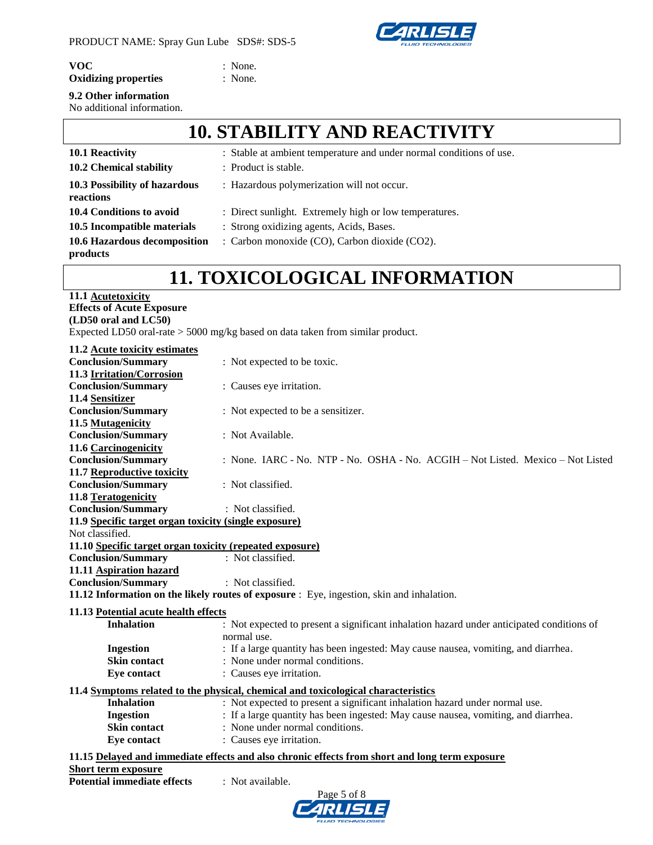

**VOC** : None.

### **Oxidizing properties** : None.

### **9.2 Other information**

No additional information.

# **10. STABILITY AND REACTIVITY**

| <b>10.1 Reactivity</b>                     | : Stable at ambient temperature and under normal conditions of use. |
|--------------------------------------------|---------------------------------------------------------------------|
| 10.2 Chemical stability                    | : Product is stable.                                                |
| 10.3 Possibility of hazardous<br>reactions | : Hazardous polymerization will not occur.                          |
| 10.4 Conditions to avoid                   | : Direct sunlight. Extremely high or low temperatures.              |
| 10.5 Incompatible materials                | : Strong oxidizing agents, Acids, Bases.                            |
| 10.6 Hazardous decomposition<br>products   | : Carbon monoxide (CO), Carbon dioxide (CO2).                       |

### **11. TOXICOLOGICAL INFORMATION**

| 11.1 Acutetoxicity                                                               |
|----------------------------------------------------------------------------------|
| <b>Effects of Acute Exposure</b>                                                 |
| (LD50 oral and LC50)                                                             |
| Expected LD50 oral-rate $> 5000$ mg/kg based on data taken from similar product. |

| 11.2 Acute toxicity estimates                            |                                                                                                |
|----------------------------------------------------------|------------------------------------------------------------------------------------------------|
| <b>Conclusion/Summary</b>                                | : Not expected to be toxic.                                                                    |
| 11.3 Irritation/Corrosion                                |                                                                                                |
| <b>Conclusion/Summary</b>                                | : Causes eye irritation.                                                                       |
| 11.4 Sensitizer                                          |                                                                                                |
| <b>Conclusion/Summary</b>                                | : Not expected to be a sensitizer.                                                             |
| 11.5 Mutagenicity                                        |                                                                                                |
| <b>Conclusion/Summary</b>                                | : Not Available.                                                                               |
| 11.6 Carcinogenicity                                     |                                                                                                |
| <b>Conclusion/Summary</b>                                | : None. IARC - No. NTP - No. OSHA - No. ACGIH - Not Listed. Mexico - Not Listed                |
| 11.7 Reproductive toxicity                               |                                                                                                |
| <b>Conclusion/Summary</b>                                | : Not classified.                                                                              |
| 11.8 Teratogenicity                                      |                                                                                                |
| <b>Conclusion/Summary</b>                                | : Not classified.                                                                              |
| 11.9 Specific target organ toxicity (single exposure)    |                                                                                                |
| Not classified.                                          |                                                                                                |
| 11.10 Specific target organ toxicity (repeated exposure) |                                                                                                |
| <b>Conclusion/Summary</b>                                | : Not classified.                                                                              |
| 11.11 Aspiration hazard                                  |                                                                                                |
| <b>Conclusion/Summary</b>                                | : Not classified.                                                                              |
|                                                          | 11.12 Information on the likely routes of exposure : Eye, ingestion, skin and inhalation.      |
| 11.13 Potential acute health effects                     |                                                                                                |
| <b>Inhalation</b>                                        | : Not expected to present a significant inhalation hazard under anticipated conditions of      |
|                                                          | normal use.                                                                                    |
| <b>Ingestion</b>                                         | : If a large quantity has been ingested: May cause nausea, vomiting, and diarrhea.             |
| <b>Skin contact</b>                                      | : None under normal conditions.                                                                |
| Eye contact                                              | : Causes eye irritation.                                                                       |
|                                                          | 11.4 Symptoms related to the physical, chemical and toxicological characteristics              |
| <b>Inhalation</b>                                        | : Not expected to present a significant inhalation hazard under normal use.                    |
| <b>Ingestion</b>                                         | : If a large quantity has been ingested: May cause nausea, vomiting, and diarrhea.             |
| <b>Skin contact</b>                                      | : None under normal conditions.                                                                |
| Eye contact                                              | : Causes eye irritation.                                                                       |
|                                                          |                                                                                                |
|                                                          | 11.15 Delayed and immediate effects and also chronic effects from short and long term exposure |
| <b>Short term exposure</b>                               |                                                                                                |
| <b>Potential immediate effects</b>                       | : Not available.<br>$\sim$ $\sim$ $\sim$                                                       |

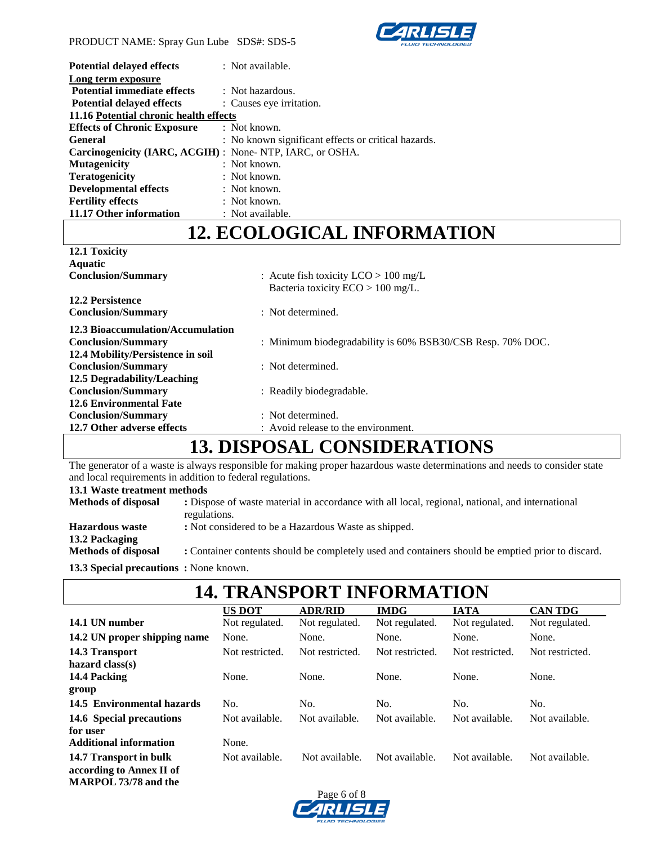

| <b>Potential delayed effects</b>                                | : Not available.                                    |
|-----------------------------------------------------------------|-----------------------------------------------------|
| Long term exposure                                              |                                                     |
| <b>Potential immediate effects</b>                              | : Not hazardous.                                    |
| <b>Potential delayed effects</b>                                | : Causes eye irritation.                            |
| 11.16 Potential chronic health effects                          |                                                     |
| <b>Effects of Chronic Exposure</b>                              | : Not known.                                        |
| <b>General</b>                                                  | : No known significant effects or critical hazards. |
| <b>Carcinogenicity (IARC, ACGIH)</b> : None-NTP, IARC, or OSHA. |                                                     |
| <b>Mutagenicity</b>                                             | $:$ Not known.                                      |
| <b>Teratogenicity</b>                                           | $:$ Not known.                                      |
| <b>Developmental effects</b>                                    | : Not known.                                        |
| <b>Fertility effects</b>                                        | $:$ Not known.                                      |
| 11.17 Other information                                         | : Not available.                                    |

### **12. ECOLOGICAL INFORMATION**

| 12.1 Toxicity                     |                                                            |
|-----------------------------------|------------------------------------------------------------|
| <b>Aquatic</b>                    |                                                            |
| <b>Conclusion/Summary</b>         | : Acute fish toxicity $LCO > 100$ mg/L                     |
|                                   | Bacteria toxicity $ECO > 100$ mg/L.                        |
| <b>12.2 Persistence</b>           |                                                            |
| <b>Conclusion/Summary</b>         | $\therefore$ Not determined.                               |
| 12.3 Bioaccumulation/Accumulation |                                                            |
| <b>Conclusion/Summary</b>         | : Minimum biodegradability is 60% BSB30/CSB Resp. 70% DOC. |
| 12.4 Mobility/Persistence in soil |                                                            |
| <b>Conclusion/Summary</b>         | : Not determined.                                          |
| 12.5 Degradability/Leaching       |                                                            |
| <b>Conclusion/Summary</b>         | : Readily biodegradable.                                   |
| <b>12.6 Environmental Fate</b>    |                                                            |
| <b>Conclusion/Summary</b>         | $\therefore$ Not determined.                               |
| 12.7 Other adverse effects        | : Avoid release to the environment.                        |
|                                   |                                                            |

# **13. DISPOSAL CONSIDERATIONS**

The generator of a waste is always responsible for making proper hazardous waste determinations and needs to consider state and local requirements in addition to federal regulations.

### **13.1 Waste treatment methods**

| <b>Methods of disposal</b>                   | : Dispose of waste material in accordance with all local, regional, national, and international<br>regulations. |
|----------------------------------------------|-----------------------------------------------------------------------------------------------------------------|
| <b>Hazardous</b> waste<br>13.2 Packaging     | : Not considered to be a Hazardous Waste as shipped.                                                            |
| <b>Methods of disposal</b>                   | : Container contents should be completely used and containers should be emptied prior to discard.               |
| <b>13.3 Special precautions:</b> None known. |                                                                                                                 |

| <b>14. TRANSPORT INFORMATION</b> |                 |                 |                 |                 |                 |  |  |  |
|----------------------------------|-----------------|-----------------|-----------------|-----------------|-----------------|--|--|--|
|                                  | <b>US DOT</b>   | <b>ADR/RID</b>  | <b>IMDG</b>     | <b>IATA</b>     | <b>CAN TDG</b>  |  |  |  |
| 14.1 UN number                   | Not regulated.  | Not regulated.  | Not regulated.  | Not regulated.  | Not regulated.  |  |  |  |
| 14.2 UN proper shipping name     | None.           | None.           | None.           | None.           | None.           |  |  |  |
| 14.3 Transport                   | Not restricted. | Not restricted. | Not restricted. | Not restricted. | Not restricted. |  |  |  |
| hazard $class(s)$                |                 |                 |                 |                 |                 |  |  |  |
| 14.4 Packing                     | None.           | None.           | None.           | None.           | None.           |  |  |  |
| group                            |                 |                 |                 |                 |                 |  |  |  |
| 14.5 Environmental hazards       | No.             | No.             | No.             | No.             | No.             |  |  |  |
| 14.6 Special precautions         | Not available.  | Not available.  | Not available.  | Not available.  | Not available.  |  |  |  |
| for user                         |                 |                 |                 |                 |                 |  |  |  |
| <b>Additional information</b>    | None.           |                 |                 |                 |                 |  |  |  |
| 14.7 Transport in bulk           | Not available.  | Not available.  | Not available.  | Not available.  | Not available.  |  |  |  |
| according to Annex II of         |                 |                 |                 |                 |                 |  |  |  |
| <b>MARPOL 73/78 and the</b>      |                 |                 |                 |                 |                 |  |  |  |

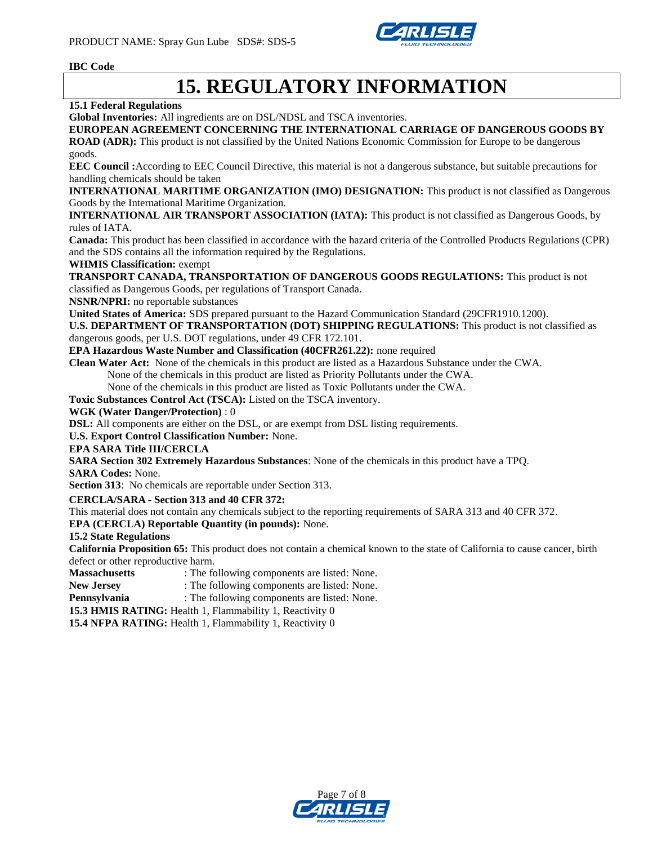

### **IBC Code**

# **15. REGULATORY INFORMATION**

### **15.1 Federal Regulations**

**Global Inventories:** All ingredients are on DSL/NDSL and TSCA inventories.

### **EUROPEAN AGREEMENT CONCERNING THE INTERNATIONAL CARRIAGE OF DANGEROUS GOODS BY**

**ROAD (ADR):** This product is not classified by the United Nations Economic Commission for Europe to be dangerous goods.

**EEC Council :**According to EEC Council Directive, this material is not a dangerous substance, but suitable precautions for handling chemicals should be taken

**INTERNATIONAL MARITIME ORGANIZATION (IMO) DESIGNATION:** This product is not classified as Dangerous Goods by the International Maritime Organization.

**INTERNATIONAL AIR TRANSPORT ASSOCIATION (IATA):** This product is not classified as Dangerous Goods, by rules of IATA.

**Canada:** This product has been classified in accordance with the hazard criteria of the Controlled Products Regulations (CPR) and the SDS contains all the information required by the Regulations.

#### **WHMIS Classification:** exempt

**TRANSPORT CANADA, TRANSPORTATION OF DANGEROUS GOODS REGULATIONS:** This product is not classified as Dangerous Goods, per regulations of Transport Canada.

**NSNR/NPRI:** no reportable substances

**United States of America:** SDS prepared pursuant to the Hazard Communication Standard (29CFR1910.1200).

**U.S. DEPARTMENT OF TRANSPORTATION (DOT) SHIPPING REGULATIONS:** This product is not classified as dangerous goods, per U.S. DOT regulations, under 49 CFR 172.101.

**EPA Hazardous Waste Number and Classification (40CFR261.22):** none required

**Clean Water Act:** None of the chemicals in this product are listed as a Hazardous Substance under the CWA.

None of the chemicals in this product are listed as Priority Pollutants under the CWA.

None of the chemicals in this product are listed as Toxic Pollutants under the CWA.

**Toxic Substances Control Act (TSCA):** Listed on the TSCA inventory.

#### **WGK (Water Danger/Protection)** : 0

**DSL:** All components are either on the DSL, or are exempt from DSL listing requirements.

**U.S. Export Control Classification Number:** None.

#### **EPA SARA Title III/CERCLA**

**SARA Section 302 Extremely Hazardous Substances**: None of the chemicals in this product have a TPQ.

**SARA Codes:** None.

**Section 313**: No chemicals are reportable under Section 313.

#### **CERCLA/SARA - Section 313 and 40 CFR 372:**

This material does not contain any chemicals subject to the reporting requirements of SARA 313 and 40 CFR 372.

**EPA (CERCLA) Reportable Quantity (in pounds):** None.

### **15.2 State Regulations**

**California Proposition 65:** This product does not contain a chemical known to the state of California to cause cancer, birth defect or other reproductive harm.

**Massachusetts** : The following components are listed: None.

**New Jersey** : The following components are listed: None.

**Pennsylvania** : The following components are listed: None.

**15.3 HMIS RATING:** Health 1, Flammability 1, Reactivity 0

**15.4 NFPA RATING:** Health 1, Flammability 1, Reactivity 0